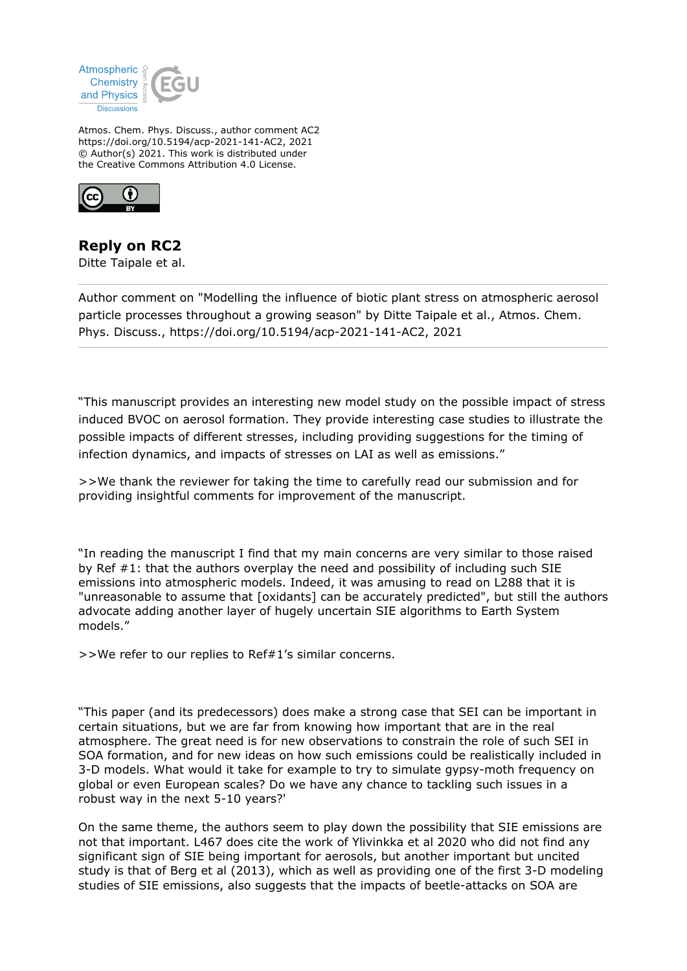

Atmos. Chem. Phys. Discuss., author comment AC2 https://doi.org/10.5194/acp-2021-141-AC2, 2021 © Author(s) 2021. This work is distributed under the Creative Commons Attribution 4.0 License.



## **Reply on RC2**

Ditte Taipale et al.

Author comment on "Modelling the influence of biotic plant stress on atmospheric aerosol particle processes throughout a growing season" by Ditte Taipale et al., Atmos. Chem. Phys. Discuss., https://doi.org/10.5194/acp-2021-141-AC2, 2021

"This manuscript provides an interesting new model study on the possible impact of stress induced BVOC on aerosol formation. They provide interesting case studies to illustrate the possible impacts of different stresses, including providing suggestions for the timing of infection dynamics, and impacts of stresses on LAI as well as emissions."

>>We thank the reviewer for taking the time to carefully read our submission and for providing insightful comments for improvement of the manuscript.

"In reading the manuscript I find that my main concerns are very similar to those raised by Ref  $#1$ : that the authors overplay the need and possibility of including such SIE emissions into atmospheric models. Indeed, it was amusing to read on L288 that it is "unreasonable to assume that [oxidants] can be accurately predicted", but still the authors advocate adding another layer of hugely uncertain SIE algorithms to Earth System models."

>>We refer to our replies to Ref#1's similar concerns.

"This paper (and its predecessors) does make a strong case that SEI can be important in certain situations, but we are far from knowing how important that are in the real atmosphere. The great need is for new observations to constrain the role of such SEI in SOA formation, and for new ideas on how such emissions could be realistically included in 3-D models. What would it take for example to try to simulate gypsy-moth frequency on global or even European scales? Do we have any chance to tackling such issues in a robust way in the next 5-10 years?'

On the same theme, the authors seem to play down the possibility that SIE emissions are not that important. L467 does cite the work of Ylivinkka et al 2020 who did not find any significant sign of SIE being important for aerosols, but another important but uncited study is that of Berg et al (2013), which as well as providing one of the first 3-D modeling studies of SIE emissions, also suggests that the impacts of beetle-attacks on SOA are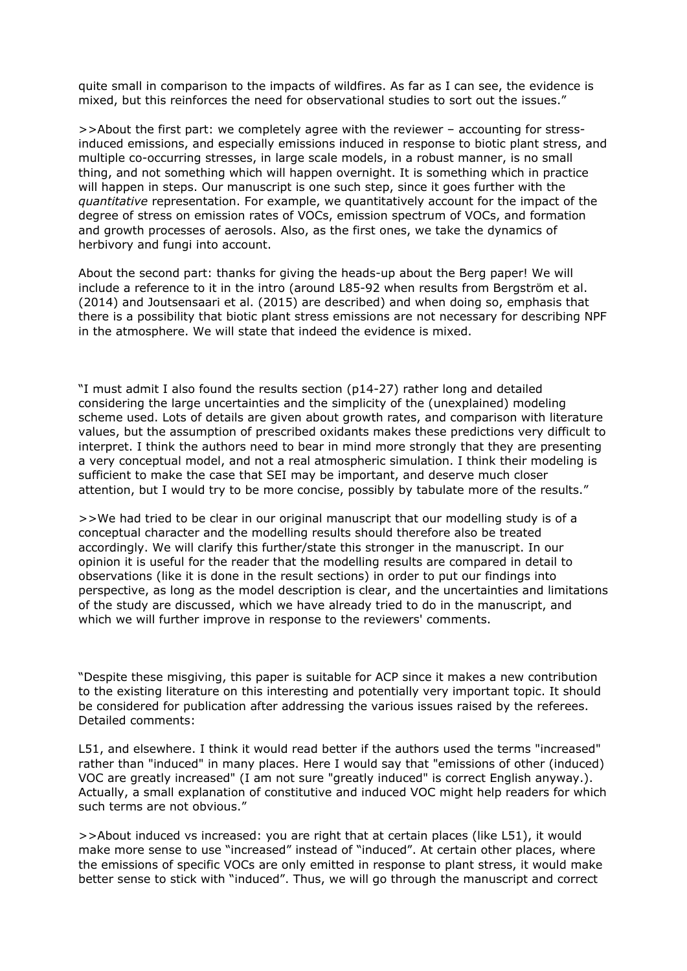quite small in comparison to the impacts of wildfires. As far as I can see, the evidence is mixed, but this reinforces the need for observational studies to sort out the issues."

>>About the first part: we completely agree with the reviewer – accounting for stressinduced emissions, and especially emissions induced in response to biotic plant stress, and multiple co-occurring stresses, in large scale models, in a robust manner, is no small thing, and not something which will happen overnight. It is something which in practice will happen in steps. Our manuscript is one such step, since it goes further with the *quantitative* representation. For example, we quantitatively account for the impact of the degree of stress on emission rates of VOCs, emission spectrum of VOCs, and formation and growth processes of aerosols. Also, as the first ones, we take the dynamics of herbivory and fungi into account.

About the second part: thanks for giving the heads-up about the Berg paper! We will include a reference to it in the intro (around L85-92 when results from Bergström et al. (2014) and Joutsensaari et al. (2015) are described) and when doing so, emphasis that there is a possibility that biotic plant stress emissions are not necessary for describing NPF in the atmosphere. We will state that indeed the evidence is mixed.

"I must admit I also found the results section (p14-27) rather long and detailed considering the large uncertainties and the simplicity of the (unexplained) modeling scheme used. Lots of details are given about growth rates, and comparison with literature values, but the assumption of prescribed oxidants makes these predictions very difficult to interpret. I think the authors need to bear in mind more strongly that they are presenting a very conceptual model, and not a real atmospheric simulation. I think their modeling is sufficient to make the case that SEI may be important, and deserve much closer attention, but I would try to be more concise, possibly by tabulate more of the results."

>>We had tried to be clear in our original manuscript that our modelling study is of a conceptual character and the modelling results should therefore also be treated accordingly. We will clarify this further/state this stronger in the manuscript. In our opinion it is useful for the reader that the modelling results are compared in detail to observations (like it is done in the result sections) in order to put our findings into perspective, as long as the model description is clear, and the uncertainties and limitations of the study are discussed, which we have already tried to do in the manuscript, and which we will further improve in response to the reviewers' comments.

"Despite these misgiving, this paper is suitable for ACP since it makes a new contribution to the existing literature on this interesting and potentially very important topic. It should be considered for publication after addressing the various issues raised by the referees. Detailed comments:

L51, and elsewhere. I think it would read better if the authors used the terms "increased" rather than "induced" in many places. Here I would say that "emissions of other (induced) VOC are greatly increased" (I am not sure "greatly induced" is correct English anyway.). Actually, a small explanation of constitutive and induced VOC might help readers for which such terms are not obvious."

>>About induced vs increased: you are right that at certain places (like L51), it would make more sense to use "increased" instead of "induced". At certain other places, where the emissions of specific VOCs are only emitted in response to plant stress, it would make better sense to stick with "induced". Thus, we will go through the manuscript and correct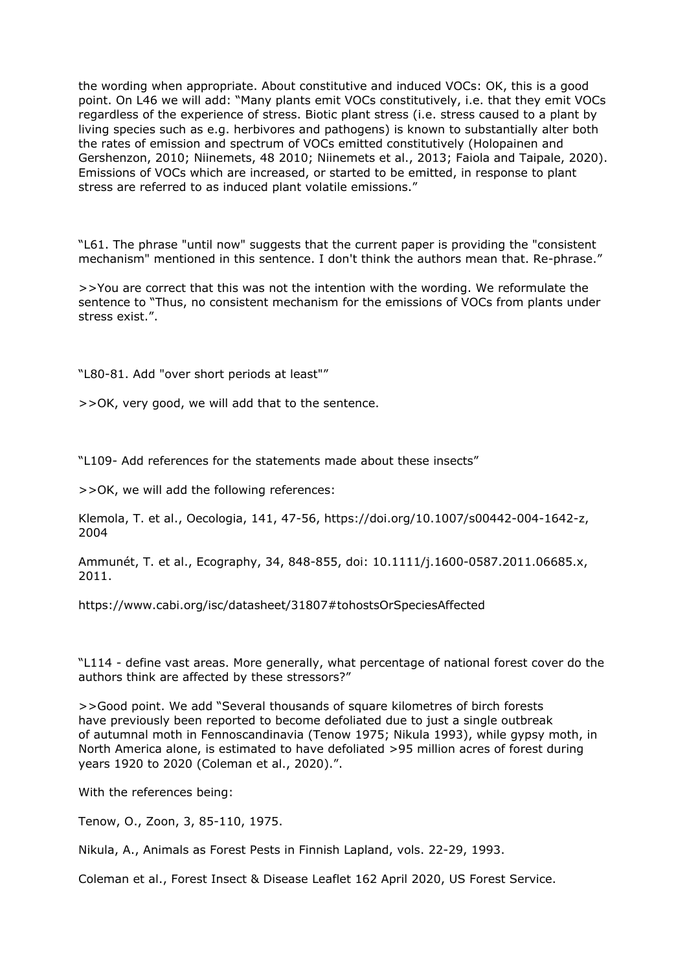the wording when appropriate. About constitutive and induced VOCs: OK, this is a good point. On L46 we will add: "Many plants emit VOCs constitutively, i.e. that they emit VOCs regardless of the experience of stress. Biotic plant stress (i.e. stress caused to a plant by living species such as e.g. herbivores and pathogens) is known to substantially alter both the rates of emission and spectrum of VOCs emitted constitutively (Holopainen and Gershenzon, 2010; Niinemets, 48 2010; Niinemets et al., 2013; Faiola and Taipale, 2020). Emissions of VOCs which are increased, or started to be emitted, in response to plant stress are referred to as induced plant volatile emissions."

"L61. The phrase "until now" suggests that the current paper is providing the "consistent mechanism" mentioned in this sentence. I don't think the authors mean that. Re-phrase."

>>You are correct that this was not the intention with the wording. We reformulate the sentence to "Thus, no consistent mechanism for the emissions of VOCs from plants under stress exist.".

"L80-81. Add "over short periods at least""

>>OK, very good, we will add that to the sentence.

"L109- Add references for the statements made about these insects"

>>OK, we will add the following references:

Klemola, T. et al., Oecologia, 141, 47-56, https://doi.org/10.1007/s00442-004-1642-z, 2004

Ammunét, T. et al., Ecography, 34, 848-855, doi: 10.1111/j.1600-0587.2011.06685.x, 2011.

https://www.cabi.org/isc/datasheet/31807#tohostsOrSpeciesAffected

"L114 - define vast areas. More generally, what percentage of national forest cover do the authors think are affected by these stressors?"

>>Good point. We add "Several thousands of square kilometres of birch forests have previously been reported to become defoliated due to just a single outbreak of autumnal moth in Fennoscandinavia (Tenow 1975; Nikula 1993), while gypsy moth, in North America alone, is estimated to have defoliated >95 million acres of forest during years 1920 to 2020 (Coleman et al., 2020).".

With the references being:

Tenow, O., Zoon, 3, 85-110, 1975.

Nikula, A., Animals as Forest Pests in Finnish Lapland, vols. 22-29, 1993.

Coleman et al., Forest Insect & Disease Leaflet 162 April 2020, US Forest Service.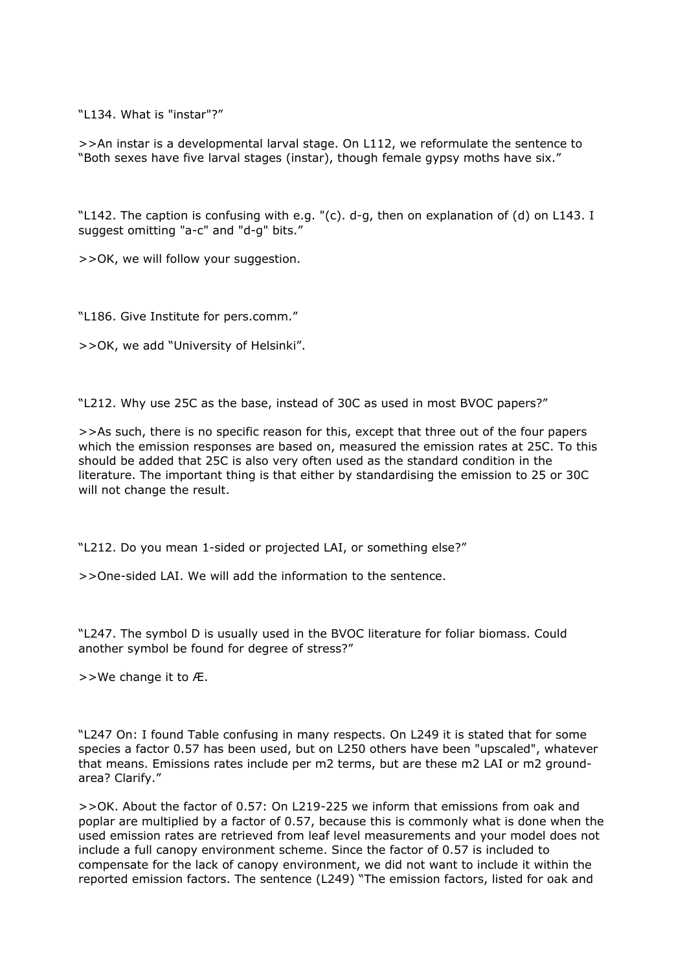"L134. What is "instar"?"

>>An instar is a developmental larval stage. On L112, we reformulate the sentence to "Both sexes have five larval stages (instar), though female gypsy moths have six."

"L142. The caption is confusing with e.g. "(c). d-g, then on explanation of (d) on L143. I suggest omitting "a-c" and "d-g" bits."

>>OK, we will follow your suggestion.

"L186. Give Institute for pers.comm."

>>OK, we add "University of Helsinki".

"L212. Why use 25C as the base, instead of 30C as used in most BVOC papers?"

>>As such, there is no specific reason for this, except that three out of the four papers which the emission responses are based on, measured the emission rates at 25C. To this should be added that 25C is also very often used as the standard condition in the literature. The important thing is that either by standardising the emission to 25 or 30C will not change the result.

"L212. Do you mean 1-sided or projected LAI, or something else?"

>>One-sided LAI. We will add the information to the sentence.

"L247. The symbol D is usually used in the BVOC literature for foliar biomass. Could another symbol be found for degree of stress?"

>>We change it to Æ.

"L247 On: I found Table confusing in many respects. On L249 it is stated that for some species a factor 0.57 has been used, but on L250 others have been "upscaled", whatever that means. Emissions rates include per m2 terms, but are these m2 LAI or m2 groundarea? Clarify."

>>OK. About the factor of 0.57: On L219-225 we inform that emissions from oak and poplar are multiplied by a factor of 0.57, because this is commonly what is done when the used emission rates are retrieved from leaf level measurements and your model does not include a full canopy environment scheme. Since the factor of 0.57 is included to compensate for the lack of canopy environment, we did not want to include it within the reported emission factors. The sentence (L249) "The emission factors, listed for oak and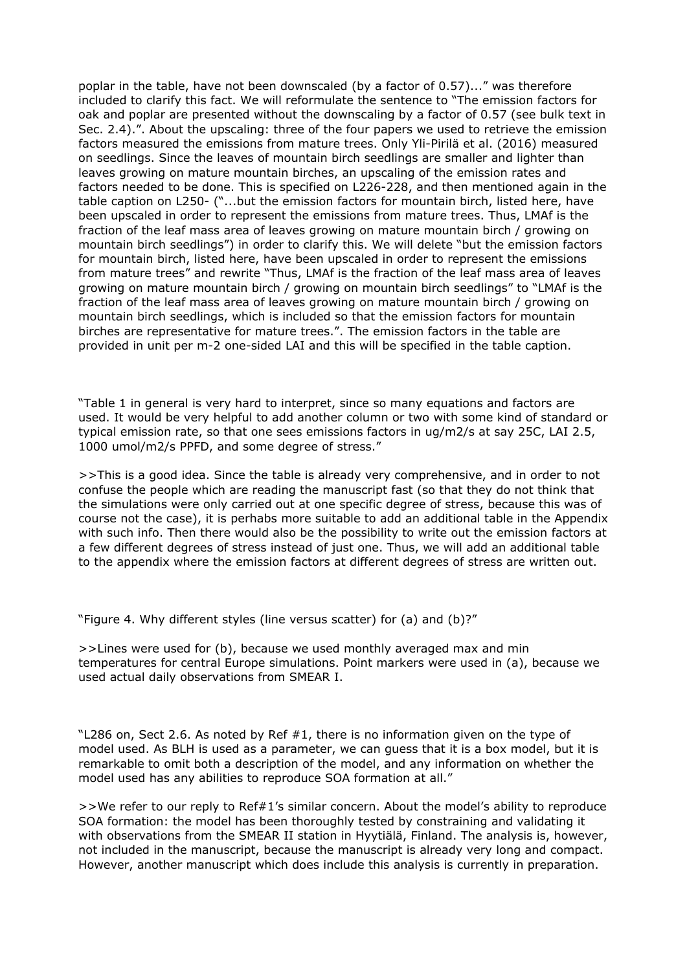poplar in the table, have not been downscaled (by a factor of 0.57)..." was therefore included to clarify this fact. We will reformulate the sentence to "The emission factors for oak and poplar are presented without the downscaling by a factor of 0.57 (see bulk text in Sec. 2.4).". About the upscaling: three of the four papers we used to retrieve the emission factors measured the emissions from mature trees. Only Yli-Pirilä et al. (2016) measured on seedlings. Since the leaves of mountain birch seedlings are smaller and lighter than leaves growing on mature mountain birches, an upscaling of the emission rates and factors needed to be done. This is specified on L226-228, and then mentioned again in the table caption on L250- ("...but the emission factors for mountain birch, listed here, have been upscaled in order to represent the emissions from mature trees. Thus, LMAf is the fraction of the leaf mass area of leaves growing on mature mountain birch / growing on mountain birch seedlings") in order to clarify this. We will delete "but the emission factors for mountain birch, listed here, have been upscaled in order to represent the emissions from mature trees" and rewrite "Thus, LMAf is the fraction of the leaf mass area of leaves growing on mature mountain birch / growing on mountain birch seedlings" to "LMAf is the fraction of the leaf mass area of leaves growing on mature mountain birch / growing on mountain birch seedlings, which is included so that the emission factors for mountain birches are representative for mature trees.". The emission factors in the table are provided in unit per m-2 one-sided LAI and this will be specified in the table caption.

"Table 1 in general is very hard to interpret, since so many equations and factors are used. It would be very helpful to add another column or two with some kind of standard or typical emission rate, so that one sees emissions factors in ug/m2/s at say 25C, LAI 2.5, 1000 umol/m2/s PPFD, and some degree of stress."

>>This is a good idea. Since the table is already very comprehensive, and in order to not confuse the people which are reading the manuscript fast (so that they do not think that the simulations were only carried out at one specific degree of stress, because this was of course not the case), it is perhabs more suitable to add an additional table in the Appendix with such info. Then there would also be the possibility to write out the emission factors at a few different degrees of stress instead of just one. Thus, we will add an additional table to the appendix where the emission factors at different degrees of stress are written out.

"Figure 4. Why different styles (line versus scatter) for (a) and (b)?"

>>Lines were used for (b), because we used monthly averaged max and min temperatures for central Europe simulations. Point markers were used in (a), because we used actual daily observations from SMEAR I.

"L286 on, Sect 2.6. As noted by Ref #1, there is no information given on the type of model used. As BLH is used as a parameter, we can guess that it is a box model, but it is remarkable to omit both a description of the model, and any information on whether the model used has any abilities to reproduce SOA formation at all."

>>We refer to our reply to Ref#1's similar concern. About the model's ability to reproduce SOA formation: the model has been thoroughly tested by constraining and validating it with observations from the SMEAR II station in Hyytiälä, Finland. The analysis is, however, not included in the manuscript, because the manuscript is already very long and compact. However, another manuscript which does include this analysis is currently in preparation.